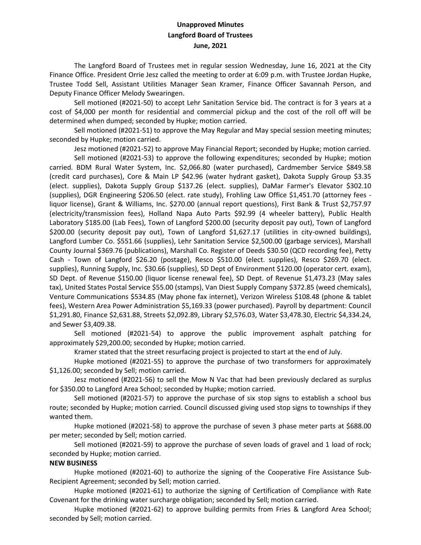## **Unapproved Minutes Langford Board of Trustees June, 2021**

The Langford Board of Trustees met in regular session Wednesday, June 16, 2021 at the City Finance Office. President Orrie Jesz called the meeting to order at 6:09 p.m. with Trustee Jordan Hupke, Trustee Todd Sell, Assistant Utilities Manager Sean Kramer, Finance Officer Savannah Person, and Deputy Finance Officer Melody Swearingen.

Sell motioned (#2021-50) to accept Lehr Sanitation Service bid. The contract is for 3 years at a cost of \$4,000 per month for residential and commercial pickup and the cost of the roll off will be determined when dumped; seconded by Hupke; motion carried.

Sell motioned (#2021-51) to approve the May Regular and May special session meeting minutes; seconded by Hupke; motion carried.

Jesz motioned (#2021-52) to approve May Financial Report; seconded by Hupke; motion carried.

Sell motioned (#2021-53) to approve the following expenditures; seconded by Hupke; motion carried. BDM Rural Water System, Inc. \$2,066.80 (water purchased), Cardmember Service \$849.58 (credit card purchases), Core & Main LP \$42.96 (water hydrant gasket), Dakota Supply Group \$3.35 (elect. supplies), Dakota Supply Group \$137.26 (elect. supplies), DaMar Farmer's Elevator \$302.10 (supplies), DGR Engineering \$206.50 (elect. rate study), Frohling Law Office \$1,451.70 (attorney fees liquor license), Grant & Williams, Inc. \$270.00 (annual report questions), First Bank & Trust \$2,757.97 (electricity/transmission fees), Holland Napa Auto Parts \$92.99 (4 wheeler battery), Public Health Laboratory \$185.00 (Lab Fees), Town of Langford \$200.00 (security deposit pay out), Town of Langford \$200.00 (security deposit pay out), Town of Langford \$1,627.17 (utilities in city-owned buildings), Langford Lumber Co. \$551.66 (supplies), Lehr Sanitation Service \$2,500.00 (garbage services), Marshall County Journal \$369.76 (publications), Marshall Co. Register of Deeds \$30.50 (QCD recording fee), Petty Cash - Town of Langford \$26.20 (postage), Resco \$510.00 (elect. supplies), Resco \$269.70 (elect. supplies), Running Supply, Inc. \$30.66 (supplies), SD Dept of Environment \$120.00 (operator cert. exam), SD Dept. of Revenue \$150.00 (liquor license renewal fee), SD Dept. of Revenue \$1,473.23 (May sales tax), United States Postal Service \$55.00 (stamps), Van Diest Supply Company \$372.85 (weed chemicals), Venture Communications \$534.85 (May phone fax internet), Verizon Wireless \$108.48 (phone & tablet fees), Western Area Power Administration \$5,169.33 (power purchased). Payroll by department: Council \$1,291.80, Finance \$2,631.88, Streets \$2,092.89, Library \$2,576.03, Water \$3,478.30, Electric \$4,334.24, and Sewer \$3,409.38.

Sell motioned (#2021-54) to approve the public improvement asphalt patching for approximately \$29,200.00; seconded by Hupke; motion carried.

Kramer stated that the street resurfacing project is projected to start at the end of July.

Hupke motioned (#2021-55) to approve the purchase of two transformers for approximately \$1,126.00; seconded by Sell; motion carried.

Jesz motioned (#2021-56) to sell the Mow N Vac that had been previously declared as surplus for \$350.00 to Langford Area School; seconded by Hupke; motion carried.

Sell motioned (#2021-57) to approve the purchase of six stop signs to establish a school bus route; seconded by Hupke; motion carried. Council discussed giving used stop signs to townships if they wanted them.

Hupke motioned (#2021-58) to approve the purchase of seven 3 phase meter parts at \$688.00 per meter; seconded by Sell; motion carried.

Sell motioned (#2021-59) to approve the purchase of seven loads of gravel and 1 load of rock; seconded by Hupke; motion carried.

## **NEW BUSINESS**

Hupke motioned (#2021-60) to authorize the signing of the Cooperative Fire Assistance Sub-Recipient Agreement; seconded by Sell; motion carried.

Hupke motioned (#2021-61) to authorize the signing of Certification of Compliance with Rate Covenant for the drinking water surcharge obligation; seconded by Sell; motion carried.

Hupke motioned (#2021-62) to approve building permits from Fries & Langford Area School; seconded by Sell; motion carried.